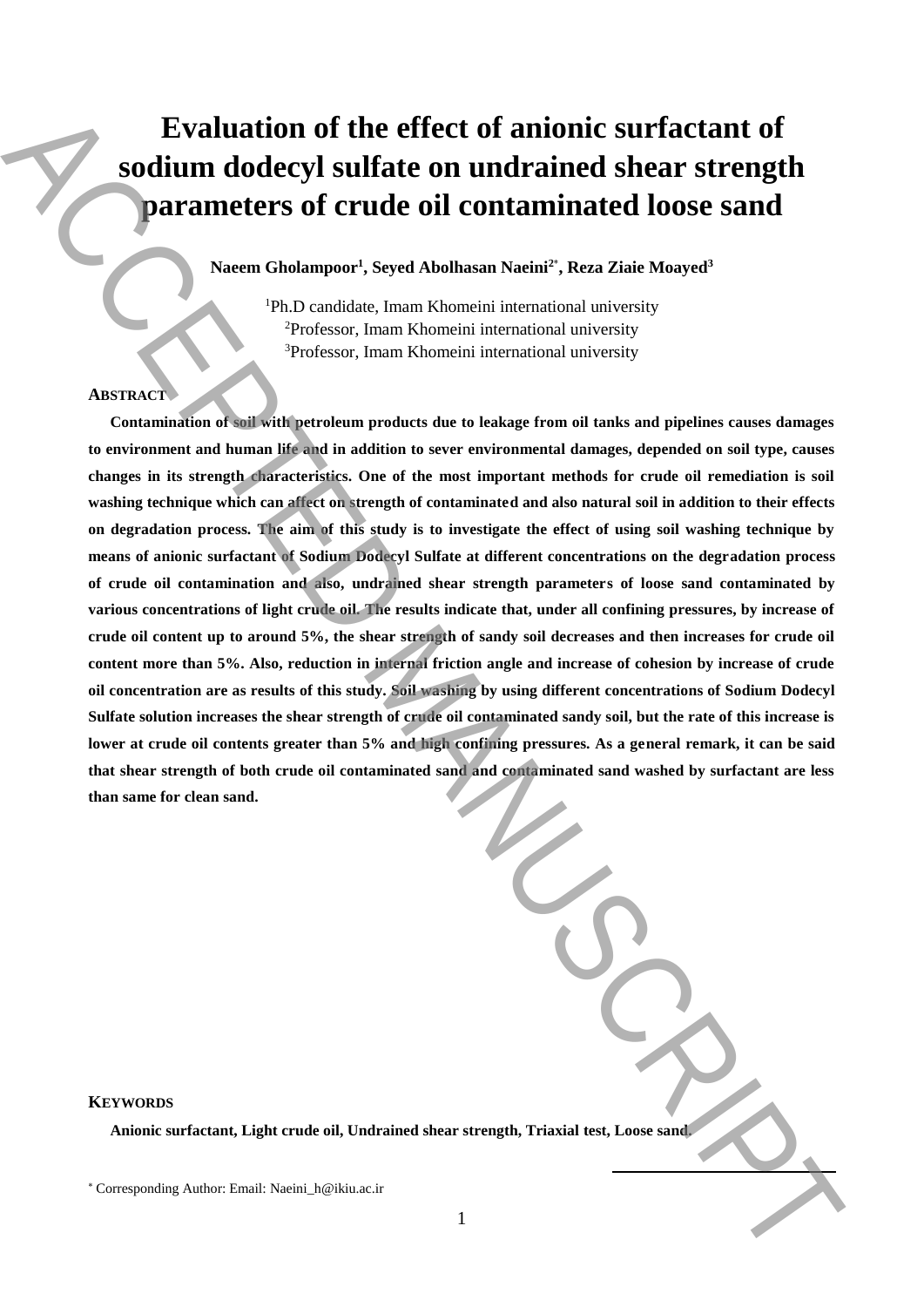# **Evaluation of the effect of anionic surfactant of sodium dodecyl sulfate on undrained shear strength parameters of crude oil contaminated loose sand**

**Naeem Gholampoor<sup>1</sup> , Seyed Abolhasan Naeini<sup>2</sup>**\* **, Reza Ziaie Moayed<sup>3</sup>**

<sup>1</sup>Ph.D candidate, Imam Khomeini international university <sup>2</sup>Professor, Imam Khomeini international university <sup>3</sup>Professor, Imam Khomeini international university

## **ABSTRACT**

**Contamination of soil with petroleum products due to leakage from oil tanks and pipelines causes damages to environment and human life and in addition to sever environmental damages, depended on soil type, causes changes in its strength characteristics. One of the most important methods for crude oil remediation is soil washing technique which can affect on strength of contaminated and also natural soil in addition to their effects on degradation process. The aim of this study is to investigate the effect of using soil washing technique by means of anionic surfactant of Sodium Dodecyl Sulfate at different concentrations on the degradation process of crude oil contamination and also, undrained shear strength parameters of loose sand contaminated by various concentrations of light crude oil. The results indicate that, under all confining pressures, by increase of crude oil content up to around 5%, the shear strength of sandy soil decreases and then increases for crude oil content more than 5%. Also, reduction in internal friction angle and increase of cohesion by increase of crude oil concentration are as results of this study. Soil washing by using different concentrations of Sodium Dodecyl Sulfate solution increases the shear strength of crude oil contaminated sandy soil, but the rate of this increase is lower at crude oil contents greater than 5% and high confining pressures. As a general remark, it can be said that shear strength of both crude oil contaminated sand and contaminated sand washed by surfactant are less than same for clean sand. Evaluation of the effect of anionic surfactant of parameters of crude oil contaminated shear strength<br>
Anaranteers of crude oil contaminated loose sand<br>
Characteristic System Characteristic System Manuscript<br>
The Corresp** 

**KEYWORDS**

**Anionic surfactant, Light crude oil, Undrained shear strength, Triaxial test, Loose sand.**

**.**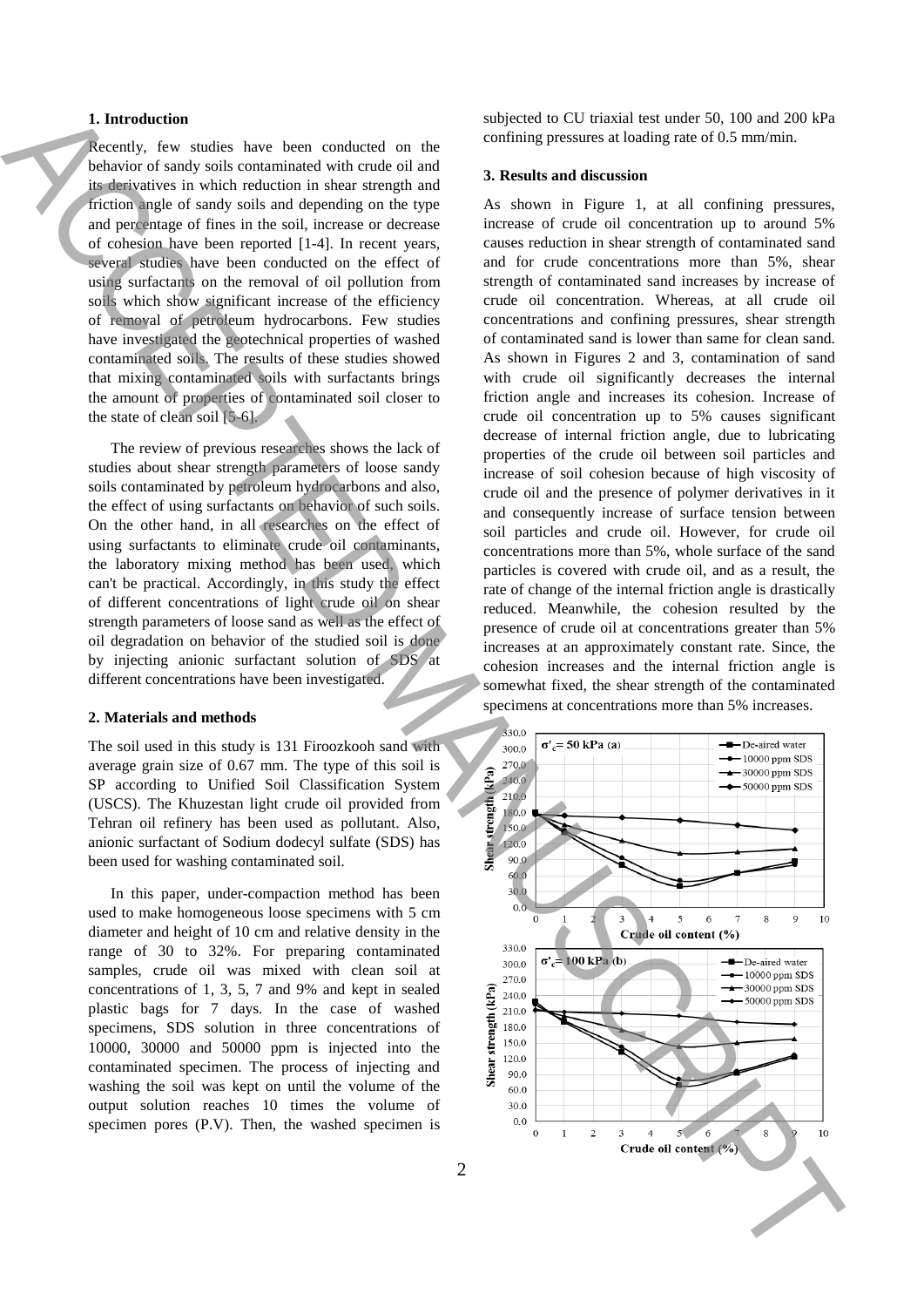## **1. Introduction**

Recently, few studies have been conducted on the behavior of sandy soils contaminated with crude oil and its derivatives in which reduction in shear strength and friction angle of sandy soils and depending on the type and percentage of fines in the soil, increase or decrease of cohesion have been reported [1-4]. In recent years, several studies have been conducted on the effect of using surfactants on the removal of oil pollution from soils which show significant increase of the efficiency of removal of petroleum hydrocarbons. Few studies have investigated the geotechnical properties of washed contaminated soils. The results of these studies showed that mixing contaminated soils with surfactants brings the amount of properties of contaminated soil closer to the state of clean soil [5-6].

The review of previous researches shows the lack of studies about shear strength parameters of loose sandy soils contaminated by petroleum hydrocarbons and also, the effect of using surfactants on behavior of such soils. On the other hand, in all researches on the effect of using surfactants to eliminate crude oil contaminants, the laboratory mixing method has been used, which can't be practical. Accordingly, in this study the effect of different concentrations of light crude oil on shear strength parameters of loose sand as well as the effect of oil degradation on behavior of the studied soil is done by injecting anionic surfactant solution of SDS at different concentrations have been investigated.

### **2. Materials and methods**

The soil used in this study is 131 Firoozkooh sand with average grain size of 0.67 mm. The type of this soil is SP according to Unified Soil Classification System (USCS). The Khuzestan light crude oil provided from Tehran oil refinery has been used as pollutant. Also, anionic surfactant of Sodium dodecyl sulfate (SDS) has been used for washing contaminated soil.

In this paper, under-compaction method has been used to make homogeneous loose specimens with 5 cm diameter and height of 10 cm and relative density in the range of 30 to 32%. For preparing contaminated samples, crude oil was mixed with clean soil at concentrations of 1, 3, 5, 7 and 9% and kept in sealed plastic bags for 7 days. In the case of washed specimens, SDS solution in three concentrations of 10000, 30000 and 50000 ppm is injected into the contaminated specimen. The process of injecting and washing the soil was kept on until the volume of the output solution reaches 10 times the volume of specimen pores (P.V). Then, the washed specimen is subjected to CU triaxial test under 50, 100 and 200 kPa confining pressures at loading rate of 0.5 mm/min.

#### **3. Results and discussion**

As shown in Figure 1, at all confining pressures, increase of crude oil concentration up to around 5% causes reduction in shear strength of contaminated sand and for crude concentrations more than 5%, shear strength of contaminated sand increases by increase of crude oil concentration. Whereas, at all crude oil concentrations and confining pressures, shear strength of contaminated sand is lower than same for clean sand. As shown in Figures 2 and 3, contamination of sand with crude oil significantly decreases the internal friction angle and increases its cohesion. Increase of crude oil concentration up to 5% causes significant decrease of internal friction angle, due to lubricating properties of the crude oil between soil particles and increase of soil cohesion because of high viscosity of crude oil and the presence of polymer derivatives in it and consequently increase of surface tension between soil particles and crude oil. However, for crude oil concentrations more than 5%, whole surface of the sand particles is covered with crude oil, and as a result, the rate of change of the internal friction angle is drastically reduced. Meanwhile, the cohesion resulted by the presence of crude oil at concentrations greater than 5% increases at an approximately constant rate. Since, the cohesion increases and the internal friction angle is somewhat fixed, the shear strength of the contaminated